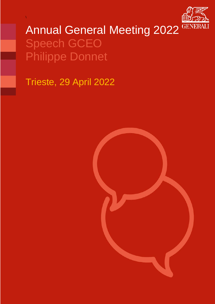

# Annual General Meeting 2022 GENERA Speech GCEO Philippe Donnet

Trieste, 29 April 2022

\

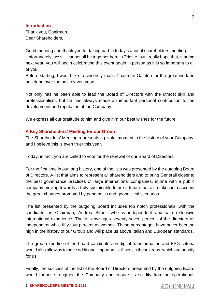#### **Introduction**

Thank you, Chairman. Dear Shareholders,

Good morning and thank you for taking part in today's annual shareholders meeting. Unfortunately, we still cannot all be together here in Trieste, but I really hope that, starting next year, you will begin celebrating this event again in person as it is so important to all of you.

Before starting, I would like to sincerely thank Chairman Galateri for the great work he has done over the past eleven years.

Not only has he been able to lead the Board of Directors with the utmost skill and professionalism, but he has always made an important personal contribution to the development and reputation of the Company.

We express all our gratitude to him and give him our best wishes for the future.

## **A Key Shareholders' Meeting for our Group**

The Shareholders' Meeting represents a pivotal moment in the history of your Company, and I believe this is even truer this year.

Today, in fact, you are called to vote for the renewal of our Board of Directors.

For the first time in our long history, one of the lists was presented by the outgoing Board of Directors. A list that aims to represent all shareholders and to bring Generali closer to the best governance practices of large international companies, in line with a public company moving towards a truly sustainable future a future that also takes into account the great changes prompted by pandemics and geopolitical scenarios.

The list presented by the outgoing Board includes top notch professionals, with the candidate as Chairman, Andrea Sironi, who is independent and with extensive international experience. The list envisages seventy-seven percent of the directors as independent while fifty-four percent as women. These percentages have never been so high in the history of our Group and will place us above Italian and European standards.

The great expertise of the board candidates on digital transformation and ESG criteria would also allow us to have additional important skill sets in these areas, which are priority for us.

Finally, the success of the list of the Board of Directors presented by the outgoing Board would further strengthen the Company and ensure its solidity from an operational,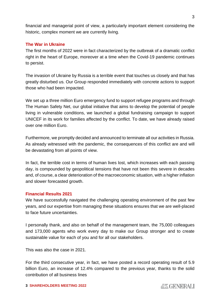financial and managerial point of view, a particularly important element considering the historic, complex moment we are currently living.

## **The War in Ukraine**

The first months of 2022 were in fact characterized by the outbreak of a dramatic conflict right in the heart of Europe, moreover at a time when the Covid-19 pandemic continues to persist.

The invasion of Ukraine by Russia is a terrible event that touches us closely and that has greatly disturbed us. Our Group responded immediately with concrete actions to support those who had been impacted.

We set up a three million Euro emergency fund to support refugee programs and through The Human Safety Net, our global initiative that aims to develop the potential of people living in vulnerable conditions, we launched a global fundraising campaign to support UNICEF in its work for families affected by the conflict. To date, we have already raised over one million Euro.

Furthermore, we promptly decided and announced to terminate all our activities in Russia. As already witnessed with the pandemic, the consequences of this conflict are and will be devastating from all points of view.

In fact, the terrible cost in terms of human lives lost, which increases with each passing day, is compounded by geopolitical tensions that have not been this severe in decades and, of course, a clear deterioration of the macroeconomic situation, with a higher inflation and slower forecasted growth.

## **Financial Results 2021**

We have successfully navigated the challenging operating environment of the past few years, and our expertise from managing these situations ensures that we are well-placed to face future uncertainties.

I personally thank, and also on behalf of the management team, the 75,000 colleagues and 173,000 agents who work every day to make our Group stronger and to create sustainable value for each of you and for all our stakeholders.

This was also the case in 2021.

For the third consecutive year, in fact, we have posted a record operating result of 5.9 billion Euro, an increase of 12.4% compared to the previous year, thanks to the solid contribution of all business lines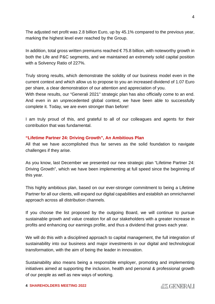The adjusted net profit was 2.8 billion Euro, up by 45.1% compared to the previous year, marking the highest level ever reached by the Group.

In addition, total gross written premiums reached  $\epsilon$  75.8 billion, with noteworthy growth in both the Life and P&C segments, and we maintained an extremely solid capital position with a Solvency Ratio of 227%.

Truly strong results, which demonstrate the solidity of our business model even in the current context and which allow us to propose to you an increased dividend of 1.07 Euro per share, a clear demonstration of our attention and appreciation of you.

With these results, our "Generali 2021" strategic plan has also officially come to an end. And even in an unprecedented global context, we have been able to successfully complete it. Today, we are even stronger than before!

I am truly proud of this, and grateful to all of our colleagues and agents for their contribution that was fundamental.

## **"Lifetime Partner 24: Driving Growth", An Ambitious Plan**

All that we have accomplished thus far serves as the solid foundation to navigate challenges if they arise.

As you know, last December we presented our new strategic plan "Lifetime Partner 24: Driving Growth", which we have been implementing at full speed since the beginning of this year.

This highly ambitious plan, based on our ever-stronger commitment to being a Lifetime Partner for all our clients, will expand our digital capabilities and establish an omnichannel approach across all distribution channels.

If you choose the list proposed by the outgoing Board, we will continue to pursue sustainable growth and value creation for all our stakeholders with a greater increase in profits and enhancing our earnings profile, and thus a dividend that grows each year.

We will do this with a disciplined approach to capital management, the full integration of sustainability into our business and major investments in our digital and technological transformation, with the aim of being the leader in innovation.

Sustainability also means being a responsible employer, promoting and implementing initiatives aimed at supporting the inclusion, health and personal & professional growth of our people as well as new ways of working.

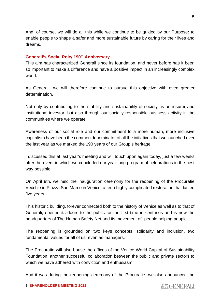And, of course, we will do all this while we continue to be guided by our Purpose**:** to enable people to shape a safer and more sustainable future by caring for their lives and dreams.

#### **Generali's Social Role/ 190th Anniversary**

This aim has characterized Generali since its foundation, and never before has it been so important to make a difference and have a positive impact in an increasingly complex world.

As Generali, we will therefore continue to pursue this objective with even greater determination.

Not only by contributing to the stability and sustainability of society as an insurer and institutional investor, but also through our socially responsible business activity in the communities where we operate.

Awareness of our social role and our commitment to a more human, more inclusive capitalism have been the common denominator of all the initiatives that we launched over the last year as we marked the 190 years of our Group's heritage.

I discussed this at last year's meeting and will touch upon again today, just a few weeks after the event in which we concluded our year-long program of celebrations in the best way possible.

On April 8th, we held the inauguration ceremony for the reopening of the Procuratie Vecchie in Piazza San Marco in Venice, after a highly complicated restoration that lasted five years.

This historic building, forever connected both to the history of Venice as well as to that of Generali, opened its doors to the public for the first time in centuries and is now the headquarters of The Human Safety Net and its movement of "people helping people".

The reopening is grounded on two keys concepts: solidarity and inclusion, two fundamental values for all of us, even as managers.

The Procuratie will also house the offices of the Venice World Capital of Sustainability Foundation, another successful collaboration between the public and private sectors to which we have adhered with conviction and enthusiasm.

And it was during the reopening ceremony of the Procuratie, we also announced the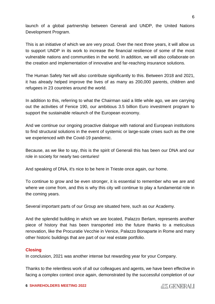launch of a global partnership between Generali and UNDP, the United Nations Development Program.

This is an initiative of which we are very proud. Over the next three years, it will allow us to support UNDP in its work to increase the financial resilience of some of the most vulnerable nations and communities in the world. In addition, we will also collaborate on the creation and implementation of innovative and far-reaching insurance solutions.

The Human Safety Net will also contribute significantly to this. Between 2018 and 2021, it has already helped improve the lives of as many as 200,000 parents, children and refugees in 23 countries around the world.

In addition to this, referring to what the Chairman said a little while ago, we are carrying out the activities of Fenice 190, our ambitious 3.5 billion Euro investment program to support the sustainable relaunch of the European economy.

And we continue our ongoing proactive dialogue with national and European institutions to find structural solutions in the event of systemic or large-scale crises such as the one we experienced with the Covid-19 pandemic.

Because, as we like to say, this is the spirit of Generali this has been our DNA and our role in society for nearly two centuries!

And speaking of DNA, it's nice to be here in Trieste once again, our home.

To continue to grow and be even stronger, it is essential to remember who we are and where we come from, and this is why this city will continue to play a fundamental role in the coming years.

Several important parts of our Group are situated here, such as our Academy.

And the splendid building in which we are located, Palazzo Berlam, represents another piece of history that has been transported into the future thanks to a meticulous renovation, like the Procuratie Vecchie in Venice, Palazzo Bonaparte in Rome and many other historic buildings that are part of our real estate portfolio.

# **Closing**

In conclusion, 2021 was another intense but rewarding year for your Company.

Thanks to the relentless work of all our colleagues and agents, we have been effective in facing a complex context once again, demonstrated by the successful completion of our